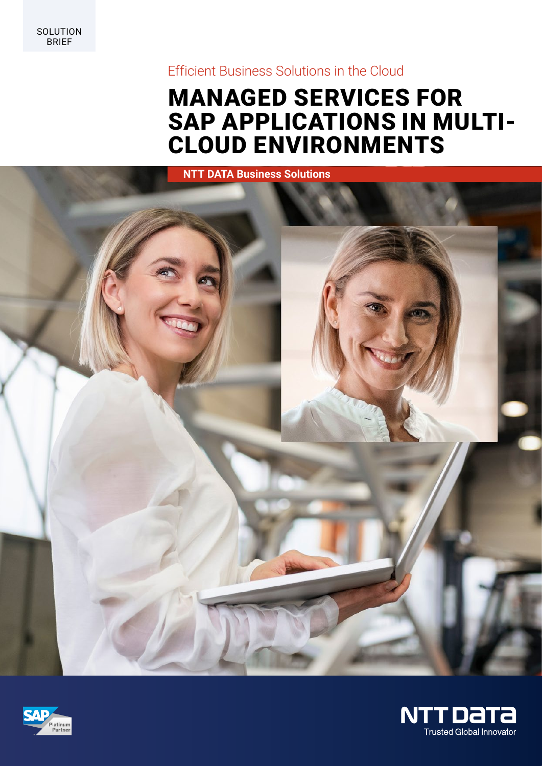SOLUTION BRIEF

# Efficient Business Solutions in the Cloud

# MANAGED SERVICES FOR SAP APPLICATIONS IN MULTI-CLOUD ENVIRONMENTS





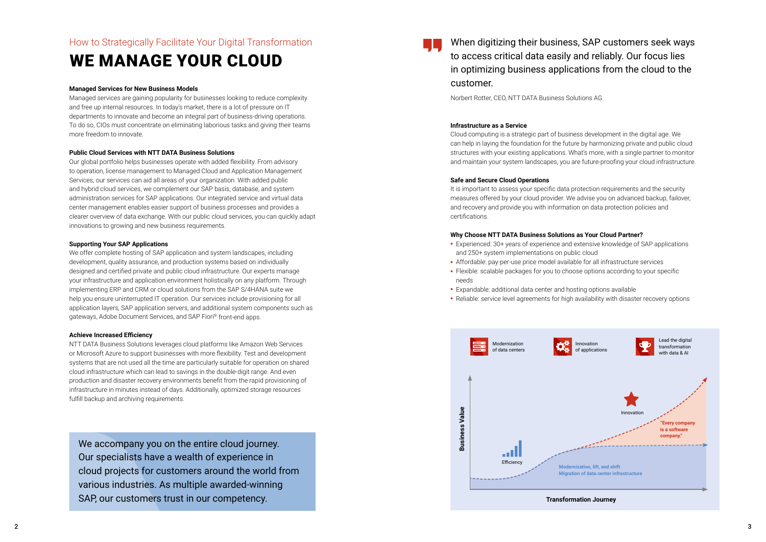#### **Managed Services for New Business Models**

Managed services are gaining popularity for businesses looking to reduce complexity and free up internal resources. In today's market, there is a lot of pressure on IT departments to innovate and become an integral part of business-driving operations. To do so, CIOs must concentrate on eliminating laborious tasks and giving their teams more freedom to innovate.

#### **Public Cloud Services with NTT DATA Business Solutions**

Our global portfolio helps businesses operate with added flexibility. From advisory to operation, license management to Managed Cloud and Application Management Services, our services can aid all areas of your organization. With added public and hybrid cloud services, we complement our SAP basis, database, and system administration services for SAP applications. Our integrated service and virtual data center management enables easier support of business processes and provides a clearer overview of data exchange. With our public cloud services, you can quickly adapt innovations to growing and new business requirements.

#### **Supporting Your SAP Applications**

We accompany you on the entire cloud journey. Our specialists have a wealth of experience in cloud projects for customers around the world from various industries. As multiple awarded-winning SAP, our customers trust in our competency.

We offer complete hosting of SAP application and system landscapes, including development, quality assurance, and production systems based on individually designed and certified private and public cloud infrastructure. Our experts manage your infrastructure and application environment holistically on any platform. Through implementing ERP and CRM or cloud solutions from the SAP S/4HANA suite we help you ensure uninterrupted IT operation. Our services include provisioning for all application layers, SAP application servers, and additional system components such as gateways, Adobe Document Services, and SAP Fiori ® front-end apps.

#### **Achieve Increased Efficiency**

NTT DATA Business Solutions leverages cloud platforms like Amazon Web Services or Microsoft Azure to support businesses with more flexibility. Test and development systems that are not used all the time are particularly suitable for operation on shared cloud infrastructure which can lead to savings in the double-digit range. And even production and disaster recovery environments benefit from the rapid provisioning of infrastructure in minutes instead of days. Additionally, optimized storage resources fulfill backup and archiving requirements.

# How to Strategically Facilitate Your Digital Transformation

# WE MANAGE YOUR CLOUD

#### **Infrastructure as a Service**

Cloud computing is a strategic part of business development in the digital age. We can help in laying the foundation for the future by harmonizing private and public cloud structures with your existing applications. What's more, with a single partner to monitor and maintain your system landscapes, you are future-proofing your cloud infrastructure.

#### **Safe and Secure Cloud Operations**

It is important to assess your specific data protection requirements and the security measures offered by your cloud provider. We advise you on advanced backup, failover, and recovery and provide you with information on data protection policies and certifications.

#### **Why Choose NTT DATA Business Solutions as Your Cloud Partner?**

**-** Experienced: 30+ years of experience and extensive knowledge of SAP applications

- and 250+ system implementations on public cloud
- **-** Affordable: pay-per-use price model available for all infrastructure services
- **-** Flexible: scalable packages for you to choose options according to your specific needs
- **-** Expandable: additional data center and hosting options available
- **-** Reliable: service level agreements for high availability with disaster recovery options

When digitizing their business, SAP customers seek ways to access critical data easily and reliably. Our focus lies in optimizing business applications from the cloud to the customer.

Norbert Rotter, CEO, NTT DATA Business Solutions AG